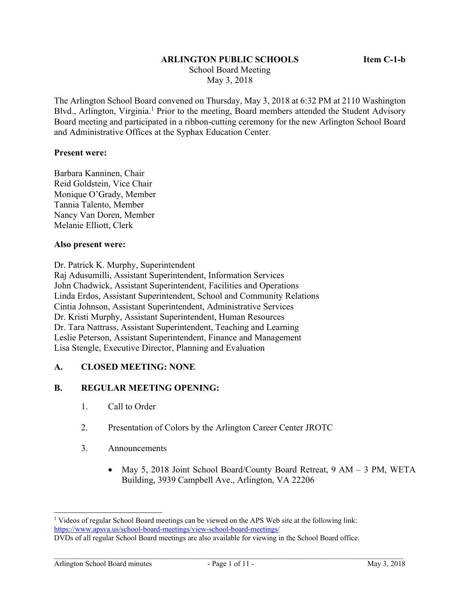### **ARLINGTON PUBLIC SCHOOLS Item C-1-b**

 School Board Meeting May 3, 2018

The Arlington School Board convened on Thursday, May 3, 2018 at 6:32 PM at 2110 Washington Blvd., Arlington, Virginia.<sup>1</sup> Prior to the meeting, Board members attended the Student Advisory Board meeting and participated in a ribbon-cutting ceremony for the new Arlington School Board and Administrative Offices at the Syphax Education Center.

#### **Present were:**

Barbara Kanninen, Chair Reid Goldstein, Vice Chair Monique O'Grady, Member Tannia Talento, Member Nancy Van Doren, Member Melanie Elliott, Clerk

#### **Also present were:**

Dr. Patrick K. Murphy, Superintendent

Raj Adusumilli, Assistant Superintendent, Information Services John Chadwick, Assistant Superintendent, Facilities and Operations Linda Erdos, Assistant Superintendent, School and Community Relations Cintia Johnson, Assistant Superintendent, Administrative Services Dr. Kristi Murphy, Assistant Superintendent, Human Resources Dr. Tara Nattrass, Assistant Superintendent, Teaching and Learning Leslie Peterson, Assistant Superintendent, Finance and Management Lisa Stengle, Executive Director, Planning and Evaluation

#### **A. CLOSED MEETING: NONE**

#### **B. REGULAR MEETING OPENING:**

- 1. Call to Order
- 2. Presentation of Colors by the Arlington Career Center JROTC
- 3. Announcements
	- May 5, 2018 Joint School Board/County Board Retreat, 9 AM 3 PM, WETA Building, 3939 Campbell Ave., Arlington, VA 22206

l

<sup>&</sup>lt;sup>1</sup> Videos of regular School Board meetings can be viewed on the APS Web site at the following link: https://www.apsva.us/school-board-meetings/view-school-board-meetings/

DVDs of all regular School Board meetings are also available for viewing in the School Board office.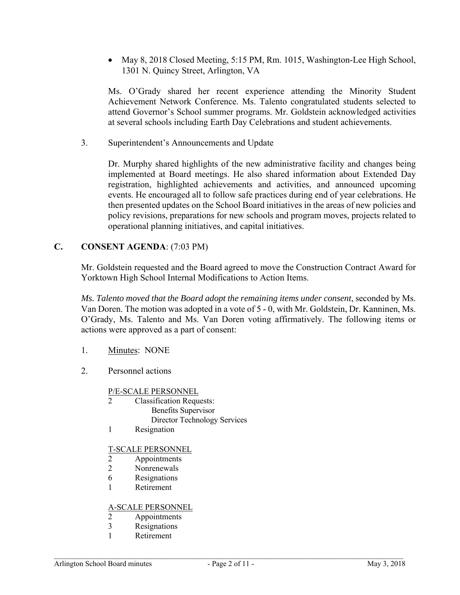May 8, 2018 Closed Meeting, 5:15 PM, Rm. 1015, Washington-Lee High School, 1301 N. Quincy Street, Arlington, VA

Ms. O'Grady shared her recent experience attending the Minority Student Achievement Network Conference. Ms. Talento congratulated students selected to attend Governor's School summer programs. Mr. Goldstein acknowledged activities at several schools including Earth Day Celebrations and student achievements.

3. Superintendent's Announcements and Update

Dr. Murphy shared highlights of the new administrative facility and changes being implemented at Board meetings. He also shared information about Extended Day registration, highlighted achievements and activities, and announced upcoming events. He encouraged all to follow safe practices during end of year celebrations. He then presented updates on the School Board initiatives in the areas of new policies and policy revisions, preparations for new schools and program moves, projects related to operational planning initiatives, and capital initiatives.

## **C. CONSENT AGENDA**: (7:03 PM)

Mr. Goldstein requested and the Board agreed to move the Construction Contract Award for Yorktown High School Internal Modifications to Action Items.

*Ms. Talento moved that the Board adopt the remaining items under consent*, seconded by Ms. Van Doren. The motion was adopted in a vote of 5 - 0, with Mr. Goldstein, Dr. Kanninen, Ms. O'Grady, Ms. Talento and Ms. Van Doren voting affirmatively. The following items or actions were approved as a part of consent:

- 1. Minutes: NONE
- 2. Personnel actions

### P/E-SCALE PERSONNEL

- 2 Classification Requests: Benefits Supervisor Director Technology Services
- 1 Resignation

#### T-SCALE PERSONNEL

- 2 Appointments
- 2 Nonrenewals
- 6 Resignations
- 1 Retirement

### A-SCALE PERSONNEL

- 2 Appointments
- 3 Resignations
- 1 Retirement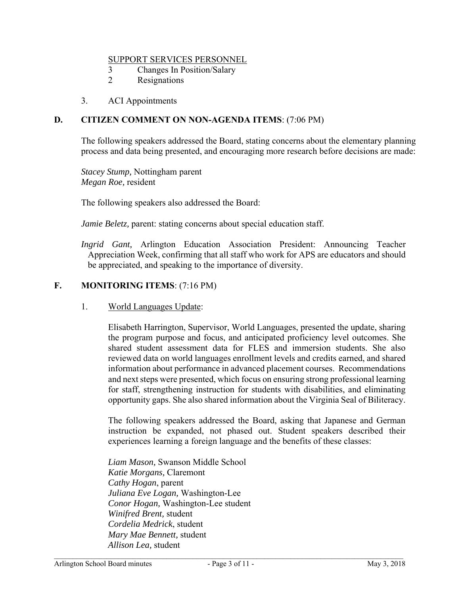#### SUPPORT SERVICES PERSONNEL

- 3 Changes In Position/Salary
- 2 Resignations
- 3. ACI Appointments

## **D. CITIZEN COMMENT ON NON-AGENDA ITEMS**: (7:06 PM)

The following speakers addressed the Board, stating concerns about the elementary planning process and data being presented, and encouraging more research before decisions are made:

*Stacey Stump,* Nottingham parent *Megan Roe,* resident

The following speakers also addressed the Board:

*Jamie Beletz*, parent: stating concerns about special education staff.

*Ingrid Gant,* Arlington Education Association President: Announcing Teacher Appreciation Week, confirming that all staff who work for APS are educators and should be appreciated, and speaking to the importance of diversity.

## **F. MONITORING ITEMS**: (7:16 PM)

1. World Languages Update:

Elisabeth Harrington, Supervisor, World Languages, presented the update, sharing the program purpose and focus, and anticipated proficiency level outcomes. She shared student assessment data for FLES and immersion students. She also reviewed data on world languages enrollment levels and credits earned, and shared information about performance in advanced placement courses. Recommendations and next steps were presented, which focus on ensuring strong professional learning for staff, strengthening instruction for students with disabilities, and eliminating opportunity gaps. She also shared information about the Virginia Seal of Biliteracy.

The following speakers addressed the Board, asking that Japanese and German instruction be expanded, not phased out. Student speakers described their experiences learning a foreign language and the benefits of these classes:

*Liam Mason,* Swanson Middle School *Katie Morgans,* Claremont *Cathy Hogan*, parent *Juliana Eve Logan,* Washington-Lee *Conor Hogan,* Washington-Lee student *Winifred Brent,* student *Cordelia Medrick*, student *Mary Mae Bennett,* student *Allison Lea,* student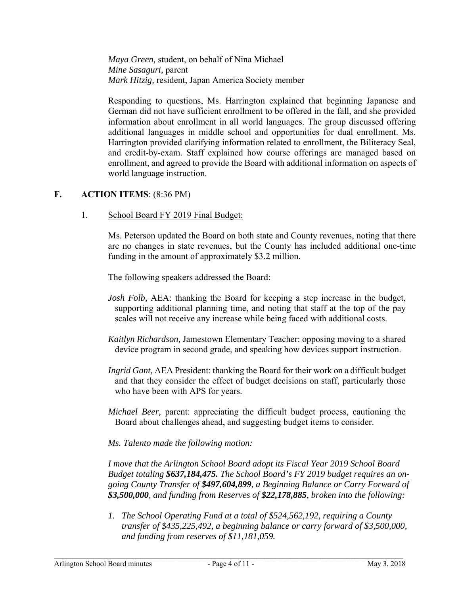*Maya Green,* student, on behalf of Nina Michael *Mine Sasaguri,* parent *Mark Hitzig,* resident, Japan America Society member

Responding to questions, Ms. Harrington explained that beginning Japanese and German did not have sufficient enrollment to be offered in the fall, and she provided information about enrollment in all world languages. The group discussed offering additional languages in middle school and opportunities for dual enrollment. Ms. Harrington provided clarifying information related to enrollment, the Biliteracy Seal, and credit-by-exam. Staff explained how course offerings are managed based on enrollment, and agreed to provide the Board with additional information on aspects of world language instruction.

## **F. ACTION ITEMS**: (8:36 PM)

1. School Board FY 2019 Final Budget:

Ms. Peterson updated the Board on both state and County revenues, noting that there are no changes in state revenues, but the County has included additional one-time funding in the amount of approximately \$3.2 million.

The following speakers addressed the Board:

- *Josh Folb,* AEA: thanking the Board for keeping a step increase in the budget, supporting additional planning time, and noting that staff at the top of the pay scales will not receive any increase while being faced with additional costs.
- *Kaitlyn Richardson,* Jamestown Elementary Teacher: opposing moving to a shared device program in second grade, and speaking how devices support instruction.
- *Ingrid Gant,* AEA President: thanking the Board for their work on a difficult budget and that they consider the effect of budget decisions on staff, particularly those who have been with APS for years.
- *Michael Beer,* parent: appreciating the difficult budget process, cautioning the Board about challenges ahead, and suggesting budget items to consider.

### *Ms. Talento made the following motion:*

*I move that the Arlington School Board adopt its Fiscal Year 2019 School Board Budget totaling \$637,184,475. The School Board's FY 2019 budget requires an ongoing County Transfer of \$497,604,899, a Beginning Balance or Carry Forward of \$3,500,000, and funding from Reserves of \$22,178,885, broken into the following:* 

*1. The School Operating Fund at a total of \$524,562,192, requiring a County transfer of \$435,225,492, a beginning balance or carry forward of \$3,500,000, and funding from reserves of \$11,181,059.*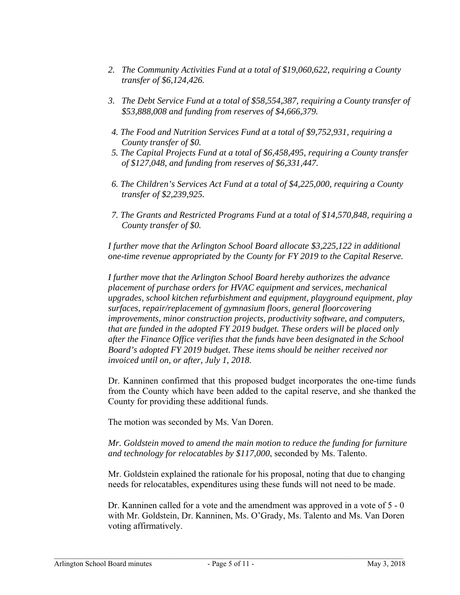- *2. The Community Activities Fund at a total of \$19,060,622, requiring a County transfer of \$6,124,426.*
- *3. The Debt Service Fund at a total of \$58,554,387, requiring a County transfer of \$53,888,008 and funding from reserves of \$4,666,379.*
- *4. The Food and Nutrition Services Fund at a total of \$9,752,931, requiring a County transfer of \$0.*
- *5. The Capital Projects Fund at a total of \$6,458,495, requiring a County transfer of \$127,048, and funding from reserves of \$6,331,447.*
- *6. The Children's Services Act Fund at a total of \$4,225,000, requiring a County transfer of \$2,239,925.*
- *7. The Grants and Restricted Programs Fund at a total of \$14,570,848, requiring a County transfer of \$0.*

*I further move that the Arlington School Board allocate \$3,225,122 in additional one-time revenue appropriated by the County for FY 2019 to the Capital Reserve.* 

*I further move that the Arlington School Board hereby authorizes the advance placement of purchase orders for HVAC equipment and services, mechanical upgrades, school kitchen refurbishment and equipment, playground equipment, play surfaces, repair/replacement of gymnasium floors, general floorcovering improvements, minor construction projects, productivity software, and computers, that are funded in the adopted FY 2019 budget. These orders will be placed only after the Finance Office verifies that the funds have been designated in the School Board's adopted FY 2019 budget. These items should be neither received nor invoiced until on, or after, July 1, 2018.* 

Dr. Kanninen confirmed that this proposed budget incorporates the one-time funds from the County which have been added to the capital reserve, and she thanked the County for providing these additional funds.

The motion was seconded by Ms. Van Doren.

*Mr. Goldstein moved to amend the main motion to reduce the funding for furniture and technology for relocatables by \$117,000*, seconded by Ms. Talento.

Mr. Goldstein explained the rationale for his proposal, noting that due to changing needs for relocatables, expenditures using these funds will not need to be made.

Dr. Kanninen called for a vote and the amendment was approved in a vote of 5 - 0 with Mr. Goldstein, Dr. Kanninen, Ms. O'Grady, Ms. Talento and Ms. Van Doren voting affirmatively.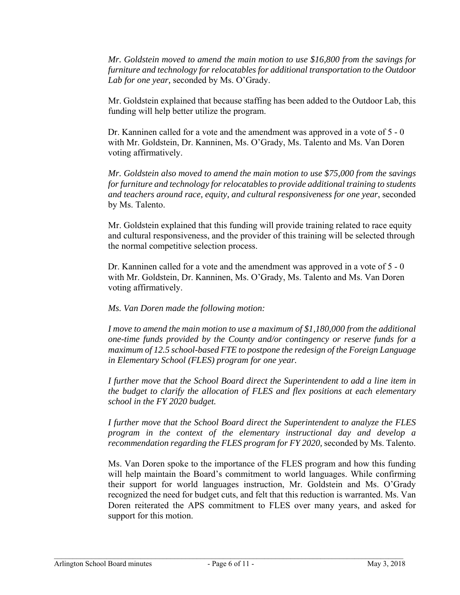*Mr. Goldstein moved to amend the main motion to use \$16,800 from the savings for furniture and technology for relocatables for additional transportation to the Outdoor Lab for one year,* seconded by Ms. O'Grady.

Mr. Goldstein explained that because staffing has been added to the Outdoor Lab, this funding will help better utilize the program.

Dr. Kanninen called for a vote and the amendment was approved in a vote of 5 - 0 with Mr. Goldstein, Dr. Kanninen, Ms. O'Grady, Ms. Talento and Ms. Van Doren voting affirmatively.

*Mr. Goldstein also moved to amend the main motion to use \$75,000 from the savings for furniture and technology for relocatables to provide additional training to students and teachers around race, equity, and cultural responsiveness for one year*, seconded by Ms. Talento.

Mr. Goldstein explained that this funding will provide training related to race equity and cultural responsiveness, and the provider of this training will be selected through the normal competitive selection process.

Dr. Kanninen called for a vote and the amendment was approved in a vote of 5 - 0 with Mr. Goldstein, Dr. Kanninen, Ms. O'Grady, Ms. Talento and Ms. Van Doren voting affirmatively.

*Ms. Van Doren made the following motion:* 

*I move to amend the main motion to use a maximum of \$1,180,000 from the additional one-time funds provided by the County and/or contingency or reserve funds for a maximum of 12.5 school-based FTE to postpone the redesign of the Foreign Language in Elementary School (FLES) program for one year.* 

*I further move that the School Board direct the Superintendent to add a line item in the budget to clarify the allocation of FLES and flex positions at each elementary school in the FY 2020 budget.* 

*I further move that the School Board direct the Superintendent to analyze the FLES program in the context of the elementary instructional day and develop a recommendation regarding the FLES program for FY 2020,* seconded by Ms. Talento.

Ms. Van Doren spoke to the importance of the FLES program and how this funding will help maintain the Board's commitment to world languages. While confirming their support for world languages instruction, Mr. Goldstein and Ms. O'Grady recognized the need for budget cuts, and felt that this reduction is warranted. Ms. Van Doren reiterated the APS commitment to FLES over many years, and asked for support for this motion.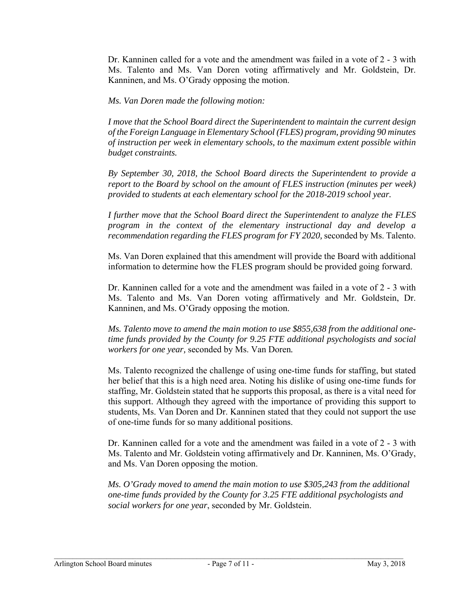Dr. Kanninen called for a vote and the amendment was failed in a vote of 2 - 3 with Ms. Talento and Ms. Van Doren voting affirmatively and Mr. Goldstein, Dr. Kanninen, and Ms. O'Grady opposing the motion.

*Ms. Van Doren made the following motion:* 

*I move that the School Board direct the Superintendent to maintain the current design of the Foreign Language in Elementary School (FLES) program, providing 90 minutes of instruction per week in elementary schools, to the maximum extent possible within budget constraints.* 

*By September 30, 2018, the School Board directs the Superintendent to provide a report to the Board by school on the amount of FLES instruction (minutes per week) provided to students at each elementary school for the 2018-2019 school year.* 

*I further move that the School Board direct the Superintendent to analyze the FLES program in the context of the elementary instructional day and develop a recommendation regarding the FLES program for FY 2020, seconded by Ms. Talento.* 

Ms. Van Doren explained that this amendment will provide the Board with additional information to determine how the FLES program should be provided going forward.

Dr. Kanninen called for a vote and the amendment was failed in a vote of 2 - 3 with Ms. Talento and Ms. Van Doren voting affirmatively and Mr. Goldstein, Dr. Kanninen, and Ms. O'Grady opposing the motion.

*Ms. Talento move to amend the main motion to use \$855,638 from the additional onetime funds provided by the County for 9.25 FTE additional psychologists and social workers for one year,* seconded by Ms. Van Doren*.* 

Ms. Talento recognized the challenge of using one-time funds for staffing, but stated her belief that this is a high need area. Noting his dislike of using one-time funds for staffing, Mr. Goldstein stated that he supports this proposal, as there is a vital need for this support. Although they agreed with the importance of providing this support to students, Ms. Van Doren and Dr. Kanninen stated that they could not support the use of one-time funds for so many additional positions.

Dr. Kanninen called for a vote and the amendment was failed in a vote of 2 - 3 with Ms. Talento and Mr. Goldstein voting affirmatively and Dr. Kanninen, Ms. O'Grady, and Ms. Van Doren opposing the motion.

*Ms. O'Grady moved to amend the main motion to use \$305,243 from the additional one-time funds provided by the County for 3.25 FTE additional psychologists and social workers for one year*, seconded by Mr. Goldstein.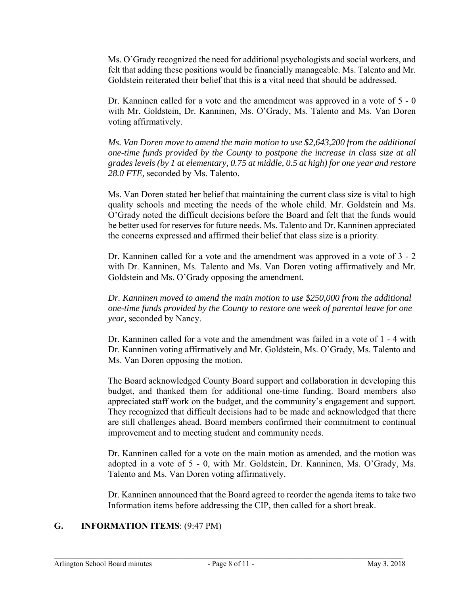Ms. O'Grady recognized the need for additional psychologists and social workers, and felt that adding these positions would be financially manageable. Ms. Talento and Mr. Goldstein reiterated their belief that this is a vital need that should be addressed.

Dr. Kanninen called for a vote and the amendment was approved in a vote of 5 - 0 with Mr. Goldstein, Dr. Kanninen, Ms. O'Grady, Ms. Talento and Ms. Van Doren voting affirmatively.

*Ms. Van Doren move to amend the main motion to use \$2,643,200 from the additional one-time funds provided by the County to postpone the increase in class size at all grades levels (by 1 at elementary, 0.75 at middle, 0.5 at high) for one year and restore 28.0 FTE,* seconded by Ms. Talento.

Ms. Van Doren stated her belief that maintaining the current class size is vital to high quality schools and meeting the needs of the whole child. Mr. Goldstein and Ms. O'Grady noted the difficult decisions before the Board and felt that the funds would be better used for reserves for future needs. Ms. Talento and Dr. Kanninen appreciated the concerns expressed and affirmed their belief that class size is a priority.

Dr. Kanninen called for a vote and the amendment was approved in a vote of 3 - 2 with Dr. Kanninen, Ms. Talento and Ms. Van Doren voting affirmatively and Mr. Goldstein and Ms. O'Grady opposing the amendment.

*Dr. Kanninen moved to amend the main motion to use \$250,000 from the additional one-time funds provided by the County to restore one week of parental leave for one year,* seconded by Nancy.

Dr. Kanninen called for a vote and the amendment was failed in a vote of 1 - 4 with Dr. Kanninen voting affirmatively and Mr. Goldstein, Ms. O'Grady, Ms. Talento and Ms. Van Doren opposing the motion.

The Board acknowledged County Board support and collaboration in developing this budget, and thanked them for additional one-time funding. Board members also appreciated staff work on the budget, and the community's engagement and support. They recognized that difficult decisions had to be made and acknowledged that there are still challenges ahead. Board members confirmed their commitment to continual improvement and to meeting student and community needs.

Dr. Kanninen called for a vote on the main motion as amended, and the motion was adopted in a vote of 5 - 0, with Mr. Goldstein, Dr. Kanninen, Ms. O'Grady, Ms. Talento and Ms. Van Doren voting affirmatively.

Dr. Kanninen announced that the Board agreed to reorder the agenda items to take two Information items before addressing the CIP, then called for a short break.

# **G. INFORMATION ITEMS**: (9:47 PM)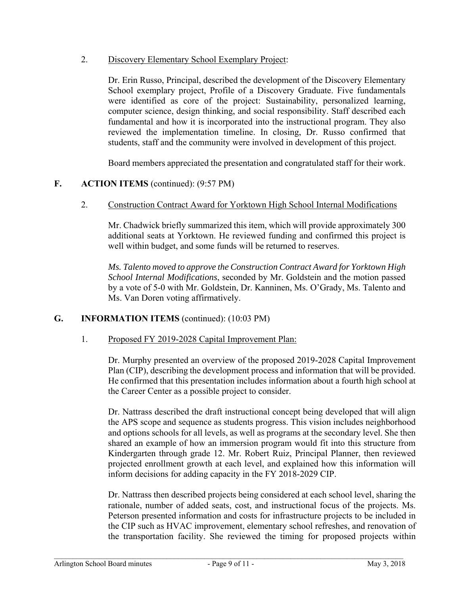2. Discovery Elementary School Exemplary Project:

Dr. Erin Russo, Principal, described the development of the Discovery Elementary School exemplary project, Profile of a Discovery Graduate. Five fundamentals were identified as core of the project: Sustainability, personalized learning, computer science, design thinking, and social responsibility. Staff described each fundamental and how it is incorporated into the instructional program. They also reviewed the implementation timeline. In closing, Dr. Russo confirmed that students, staff and the community were involved in development of this project.

Board members appreciated the presentation and congratulated staff for their work.

## **F. ACTION ITEMS** (continued): (9:57 PM)

2. Construction Contract Award for Yorktown High School Internal Modifications

Mr. Chadwick briefly summarized this item, which will provide approximately 300 additional seats at Yorktown. He reviewed funding and confirmed this project is well within budget, and some funds will be returned to reserves.

*Ms. Talento moved to approve the Construction Contract Award for Yorktown High School Internal Modifications*, seconded by Mr. Goldstein and the motion passed by a vote of 5-0 with Mr. Goldstein, Dr. Kanninen, Ms. O'Grady, Ms. Talento and Ms. Van Doren voting affirmatively.

# **G. INFORMATION ITEMS** (continued): (10:03 PM)

### 1. Proposed FY 2019-2028 Capital Improvement Plan:

Dr. Murphy presented an overview of the proposed 2019-2028 Capital Improvement Plan (CIP), describing the development process and information that will be provided. He confirmed that this presentation includes information about a fourth high school at the Career Center as a possible project to consider.

Dr. Nattrass described the draft instructional concept being developed that will align the APS scope and sequence as students progress. This vision includes neighborhood and options schools for all levels, as well as programs at the secondary level. She then shared an example of how an immersion program would fit into this structure from Kindergarten through grade 12. Mr. Robert Ruiz, Principal Planner, then reviewed projected enrollment growth at each level, and explained how this information will inform decisions for adding capacity in the FY 2018-2029 CIP.

Dr. Nattrass then described projects being considered at each school level, sharing the rationale, number of added seats, cost, and instructional focus of the projects. Ms. Peterson presented information and costs for infrastructure projects to be included in the CIP such as HVAC improvement, elementary school refreshes, and renovation of the transportation facility. She reviewed the timing for proposed projects within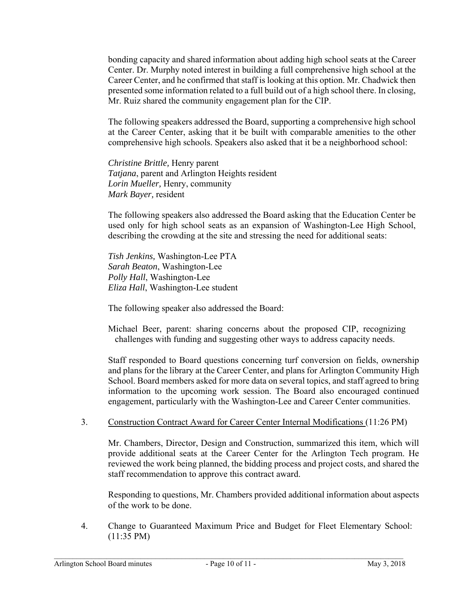bonding capacity and shared information about adding high school seats at the Career Center. Dr. Murphy noted interest in building a full comprehensive high school at the Career Center, and he confirmed that staff is looking at this option. Mr. Chadwick then presented some information related to a full build out of a high school there. In closing, Mr. Ruiz shared the community engagement plan for the CIP.

The following speakers addressed the Board, supporting a comprehensive high school at the Career Center, asking that it be built with comparable amenities to the other comprehensive high schools. Speakers also asked that it be a neighborhood school:

*Christine Brittle,* Henry parent *Tatjana*, parent and Arlington Heights resident *Lorin Mueller,* Henry, community *Mark Bayer,* resident

The following speakers also addressed the Board asking that the Education Center be used only for high school seats as an expansion of Washington-Lee High School, describing the crowding at the site and stressing the need for additional seats:

*Tish Jenkins,* Washington-Lee PTA *Sarah Beaton*, Washington-Lee *Polly Hall*, Washington-Lee *Eliza Hall*, Washington-Lee student

The following speaker also addressed the Board:

Michael Beer, parent: sharing concerns about the proposed CIP, recognizing challenges with funding and suggesting other ways to address capacity needs.

Staff responded to Board questions concerning turf conversion on fields, ownership and plans for the library at the Career Center, and plans for Arlington Community High School. Board members asked for more data on several topics, and staff agreed to bring information to the upcoming work session. The Board also encouraged continued engagement, particularly with the Washington-Lee and Career Center communities.

### 3. Construction Contract Award for Career Center Internal Modifications (11:26 PM)

Mr. Chambers, Director, Design and Construction, summarized this item, which will provide additional seats at the Career Center for the Arlington Tech program. He reviewed the work being planned, the bidding process and project costs, and shared the staff recommendation to approve this contract award.

Responding to questions, Mr. Chambers provided additional information about aspects of the work to be done.

4. Change to Guaranteed Maximum Price and Budget for Fleet Elementary School: (11:35 PM)